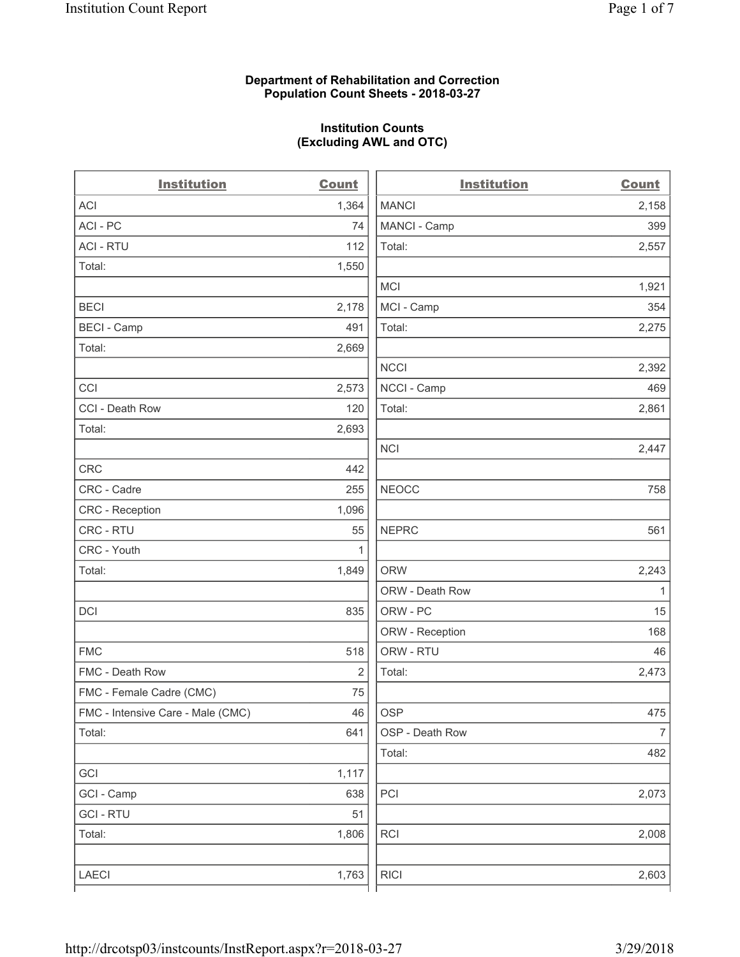# **Department of Rehabilitation and Correction Population Count Sheets - 2018-03-27**

# **Institution Counts (Excluding AWL and OTC)**

. .

| <b>Institution</b>                | <b>Count</b> | <b>Institution</b> | <b>Count</b>   |
|-----------------------------------|--------------|--------------------|----------------|
| ACI                               | 1,364        | <b>MANCI</b>       | 2,158          |
| ACI - PC                          | 74           | MANCI - Camp       | 399            |
| <b>ACI - RTU</b>                  | 112          | Total:             | 2,557          |
| Total:                            | 1,550        |                    |                |
|                                   |              | <b>MCI</b>         | 1,921          |
| <b>BECI</b>                       | 2,178        | MCI - Camp         | 354            |
| <b>BECI</b> - Camp                | 491          | Total:             | 2,275          |
| Total:                            | 2,669        |                    |                |
|                                   |              | <b>NCCI</b>        | 2,392          |
| CCI                               | 2,573        | NCCI - Camp        | 469            |
| CCI - Death Row                   | 120          | Total:             | 2,861          |
| Total:                            | 2,693        |                    |                |
|                                   |              | <b>NCI</b>         | 2,447          |
| <b>CRC</b>                        | 442          |                    |                |
| CRC - Cadre                       | 255          | <b>NEOCC</b>       | 758            |
| CRC - Reception                   | 1,096        |                    |                |
| CRC - RTU                         | 55           | <b>NEPRC</b>       | 561            |
| CRC - Youth                       | 1            |                    |                |
| Total:                            | 1,849        | <b>ORW</b>         | 2,243          |
|                                   |              | ORW - Death Row    | 1              |
| DCI                               | 835          | ORW - PC           | 15             |
|                                   |              | ORW - Reception    | 168            |
| <b>FMC</b>                        | 518          | ORW - RTU          | 46             |
| FMC - Death Row                   | 2            | Total:             | 2,473          |
| FMC - Female Cadre (CMC)          | 75           |                    |                |
| FMC - Intensive Care - Male (CMC) | 46           | <b>OSP</b>         | 475            |
| Total:                            | 641          | OSP - Death Row    | $\overline{7}$ |
|                                   |              | Total:             | 482            |
| GCI                               | 1,117        |                    |                |
| GCI - Camp                        | 638          | PCI                | 2,073          |
| <b>GCI - RTU</b>                  | 51           |                    |                |
| Total:                            | 1,806        | RCI                | 2,008          |
| LAECI                             | 1,763        | <b>RICI</b>        | 2,603          |
|                                   |              |                    |                |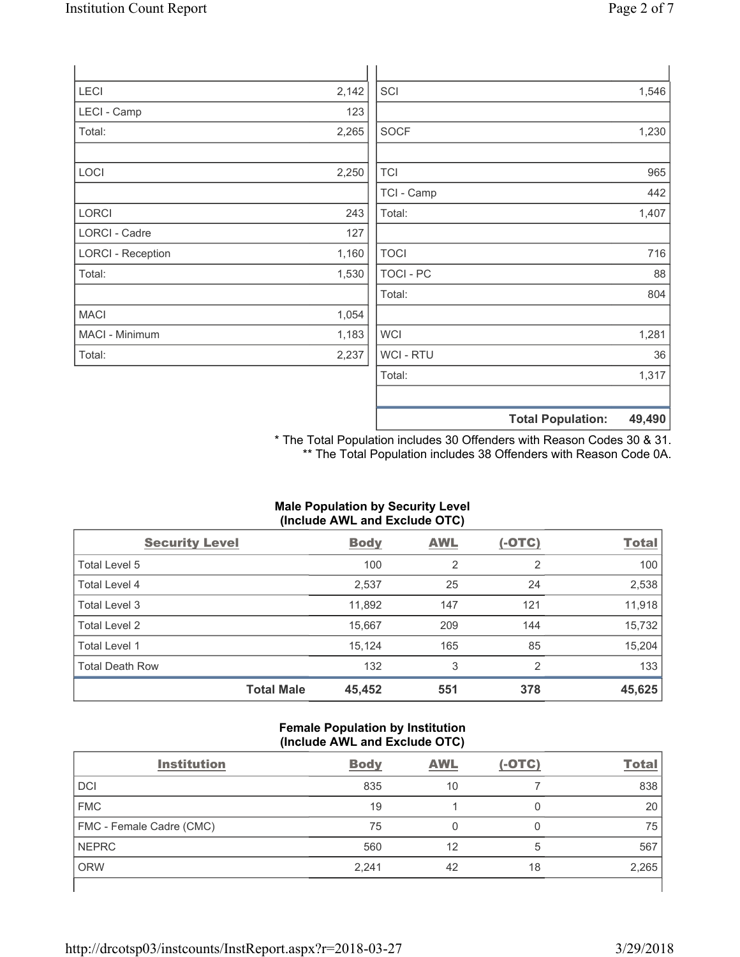| LECI                     | 2,142 | SCI              | 1,546 |
|--------------------------|-------|------------------|-------|
| LECI - Camp              | 123   |                  |       |
| Total:                   | 2,265 | <b>SOCF</b>      | 1,230 |
|                          |       |                  |       |
| LOCI                     | 2,250 | <b>TCI</b>       | 965   |
|                          |       | TCI - Camp       | 442   |
| LORCI                    | 243   | Total:           | 1,407 |
| <b>LORCI - Cadre</b>     | 127   |                  |       |
| <b>LORCI - Reception</b> | 1,160 | <b>TOCI</b>      | 716   |
| Total:                   | 1,530 | <b>TOCI - PC</b> | 88    |
|                          |       | Total:           | 804   |
| <b>MACI</b>              | 1,054 |                  |       |
| MACI - Minimum           | 1,183 | <b>WCI</b>       | 1,281 |
| Total:                   | 2,237 | WCI - RTU        | 36    |
|                          |       | Total:           | 1,317 |
|                          |       |                  |       |

\* The Total Population includes 30 Offenders with Reason Codes 30 & 31. \*\* The Total Population includes 38 Offenders with Reason Code 0A.

**Total Population: 49,490**

# **Male Population by Security Level (Include AWL and Exclude OTC)**

| <b>Security Level</b>  |                   | <b>Body</b> | <b>AWL</b> | $(-OTC)$ | <b>Total</b> |
|------------------------|-------------------|-------------|------------|----------|--------------|
| Total Level 5          |                   | 100         | 2          | 2        | 100          |
| Total Level 4          |                   | 2,537       | 25         | 24       | 2,538        |
| Total Level 3          |                   | 11,892      | 147        | 121      | 11,918       |
| Total Level 2          |                   | 15,667      | 209        | 144      | 15,732       |
| Total Level 1          |                   | 15,124      | 165        | 85       | 15,204       |
| <b>Total Death Row</b> |                   | 132         | 3          | 2        | 133          |
|                        | <b>Total Male</b> | 45,452      | 551        | 378      | 45,625       |

#### **Female Population by Institution (Include AWL and Exclude OTC)**

| <b>Institution</b>       | <b>Body</b> | <b>AWL</b> | $(-OTC)$ | <b>Total</b> |
|--------------------------|-------------|------------|----------|--------------|
| <b>DCI</b>               | 835         | 10         |          | 838          |
| <b>FMC</b>               | 19          |            | 0        | 20           |
| FMC - Female Cadre (CMC) | 75          | Ω          | 0        | 75           |
| NEPRC                    | 560         | 12         | 5        | 567          |
| <b>ORW</b>               | 2,241       | 42         | 18       | 2,265        |
|                          |             |            |          |              |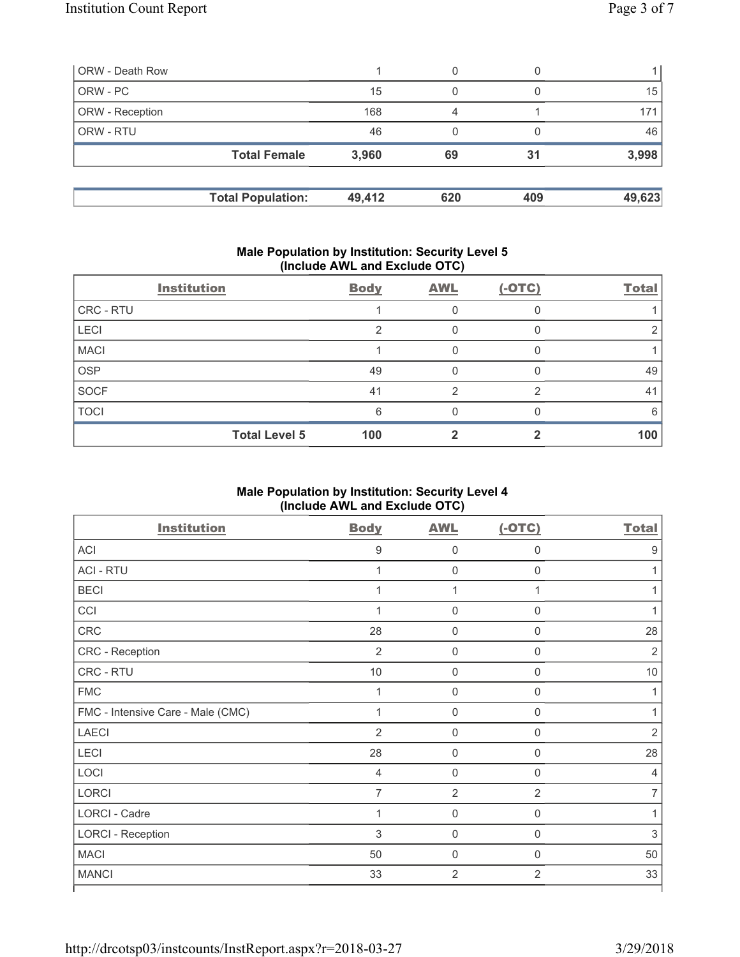| <b>ORW - Death Row</b> |                          |        | 0   |     |        |
|------------------------|--------------------------|--------|-----|-----|--------|
| ORW - PC               |                          | 15     | 0   |     | 15     |
| ORW - Reception        |                          | 168    | 4   |     | 171    |
| ORW - RTU              |                          | 46     |     |     | 46     |
|                        | <b>Total Female</b>      | 3,960  | 69  | 31  | 3,998  |
|                        | <b>Total Population:</b> | 49,412 | 620 | 409 | 49,623 |

# **Male Population by Institution: Security Level 5 (Include AWL and Exclude OTC)**

|             | $\mathbf{v}$         |             | . .        |          |              |
|-------------|----------------------|-------------|------------|----------|--------------|
|             | <b>Institution</b>   | <b>Body</b> | <b>AWL</b> | $(-OTC)$ | <b>Total</b> |
| CRC - RTU   |                      |             |            |          |              |
| LECI        |                      | റ           |            |          | 2            |
| <b>MACI</b> |                      |             | 0          |          |              |
| <b>OSP</b>  |                      | 49          | O          |          | 49           |
| <b>SOCF</b> |                      | 41          | っ          | ≘        | 41           |
| <b>TOCI</b> |                      | 6           | O          |          | 6            |
|             | <b>Total Level 5</b> | 100         | ົ          |          | 100          |

# **Male Population by Institution: Security Level 4 (Include AWL and Exclude OTC)**

| <b>Institution</b>                | <b>Body</b>    | <b>AWL</b>          | $(-OTC)$       | <b>Total</b> |
|-----------------------------------|----------------|---------------------|----------------|--------------|
| <b>ACI</b>                        | 9              | $\mathsf{O}\xspace$ | 0              | 9            |
| <b>ACI - RTU</b>                  | $\mathbf 1$    | $\mathsf{O}\xspace$ | $\mathbf 0$    |              |
| <b>BECI</b>                       | $\mathbf{1}$   | 1                   | $\overline{1}$ |              |
| CCI                               | 1              | $\mathsf{O}\xspace$ | 0              |              |
| CRC                               | 28             | $\mathsf 0$         | $\mathbf 0$    | 28           |
| CRC - Reception                   | $\overline{2}$ | $\mathbf 0$         | 0              | 2            |
| CRC - RTU                         | 10             | $\mathsf 0$         | 0              | 10           |
| <b>FMC</b>                        | $\mathbf{1}$   | $\mathsf 0$         | 0              |              |
| FMC - Intensive Care - Male (CMC) | $\mathbf{1}$   | $\mathsf 0$         | $\mathbf 0$    |              |
| LAECI                             | $\overline{2}$ | $\mathsf 0$         | 0              | 2            |
| LECI                              | 28             | $\mathsf{O}\xspace$ | 0              | 28           |
| LOCI                              | $\overline{4}$ | $\mathsf 0$         | 0              | 4            |
| <b>LORCI</b>                      | $\overline{7}$ | $\overline{2}$      | $\overline{2}$ | 7            |
| LORCI - Cadre                     | 1              | $\mathsf{O}\xspace$ | 0              | 1            |
| <b>LORCI - Reception</b>          | 3              | $\mathsf 0$         | 0              | 3            |
| <b>MACI</b>                       | 50             | $\mathsf 0$         | $\mathbf{0}$   | 50           |
| <b>MANCI</b>                      | 33             | $\overline{2}$      | $\overline{2}$ | 33           |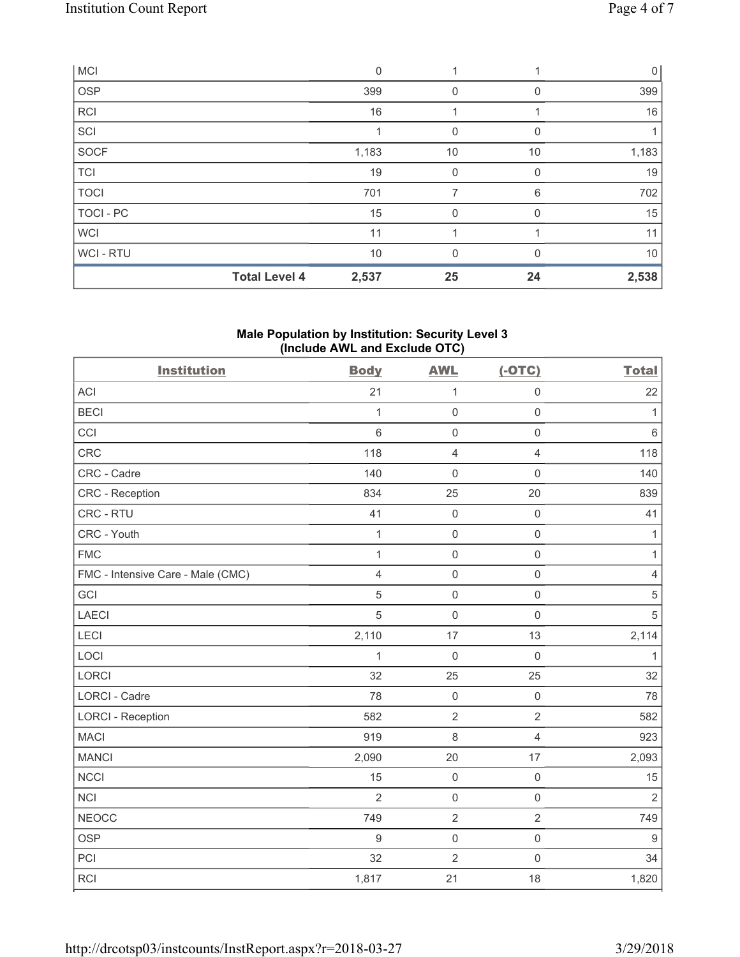|             | <b>Total Level 4</b> | 2,537 | 25 | 24       | 2,538        |
|-------------|----------------------|-------|----|----------|--------------|
| WCI - RTU   |                      | 10    | 0  |          | 10           |
| <b>WCI</b>  |                      | 11    |    |          | 11           |
| TOCI - PC   |                      | 15    | 0  | $\Omega$ | 15           |
| <b>TOCI</b> |                      | 701   | 7  | 6        | 702          |
| <b>TCI</b>  |                      | 19    | 0  | $\Omega$ | 19           |
| SOCF        |                      | 1,183 | 10 | 10       | 1,183        |
| SCI         |                      |       | 0  |          |              |
| <b>RCI</b>  |                      | 16    |    |          | 16           |
| OSP         |                      | 399   | 0  |          | 399          |
| <b>MCI</b>  |                      | 0     |    |          | $\mathbf{0}$ |

# **Male Population by Institution: Security Level 3 (Include AWL and Exclude OTC)**

| <b>Institution</b>                | <b>Body</b>      | <b>AWL</b>          | $(-OTC)$            | <b>Total</b>     |
|-----------------------------------|------------------|---------------------|---------------------|------------------|
| <b>ACI</b>                        | 21               | 1                   | $\mathsf 0$         | 22               |
| <b>BECI</b>                       | $\mathbf{1}$     | $\mathsf{O}\xspace$ | $\mathsf{O}\xspace$ | $\mathbf{1}$     |
| CCI                               | $6\phantom{a}$   | $\mathsf{O}\xspace$ | $\mathsf{O}\xspace$ | $\,6\,$          |
| <b>CRC</b>                        | 118              | $\overline{4}$      | $\overline{4}$      | 118              |
| CRC - Cadre                       | 140              | $\mathsf{O}\xspace$ | $\mathsf{O}\xspace$ | 140              |
| CRC - Reception                   | 834              | 25                  | 20                  | 839              |
| CRC - RTU                         | 41               | $\mathsf{O}\xspace$ | $\mathsf{O}\xspace$ | 41               |
| CRC - Youth                       | $\mathbf{1}$     | $\mathbf 0$         | $\mathsf 0$         | 1                |
| <b>FMC</b>                        | $\mathbf{1}$     | $\mathsf{O}\xspace$ | $\mathsf 0$         | $\mathbf{1}$     |
| FMC - Intensive Care - Male (CMC) | 4                | $\mathbf 0$         | $\mathsf 0$         | $\overline{4}$   |
| GCI                               | 5                | $\mathsf{O}\xspace$ | $\mathsf 0$         | $\sqrt{5}$       |
| <b>LAECI</b>                      | 5                | $\mathsf{O}\xspace$ | $\mathsf{O}\xspace$ | $\,$ 5 $\,$      |
| LECI                              | 2,110            | 17                  | 13                  | 2,114            |
| LOCI                              | $\mathbf{1}$     | $\mathbf 0$         | $\mathbf 0$         | $\mathbf{1}$     |
| LORCI                             | 32               | 25                  | 25                  | 32               |
| LORCI - Cadre                     | 78               | $\mathsf{O}\xspace$ | $\mathsf{O}\xspace$ | 78               |
| <b>LORCI - Reception</b>          | 582              | $\overline{2}$      | $\overline{2}$      | 582              |
| <b>MACI</b>                       | 919              | $\,8\,$             | $\overline{4}$      | 923              |
| <b>MANCI</b>                      | 2,090            | 20                  | 17                  | 2,093            |
| <b>NCCI</b>                       | 15               | $\mathsf{O}\xspace$ | $\mathsf 0$         | 15               |
| <b>NCI</b>                        | $\overline{2}$   | $\mathsf{O}\xspace$ | $\mathsf{O}\xspace$ | $\overline{2}$   |
| <b>NEOCC</b>                      | 749              | $\overline{2}$      | $\overline{2}$      | 749              |
| <b>OSP</b>                        | $\boldsymbol{9}$ | $\mathsf{O}\xspace$ | $\mathsf{O}\xspace$ | $\boldsymbol{9}$ |
| PCI                               | 32               | $\overline{2}$      | $\mathsf{O}\xspace$ | 34               |
| <b>RCI</b>                        | 1,817            | 21                  | 18                  | 1,820            |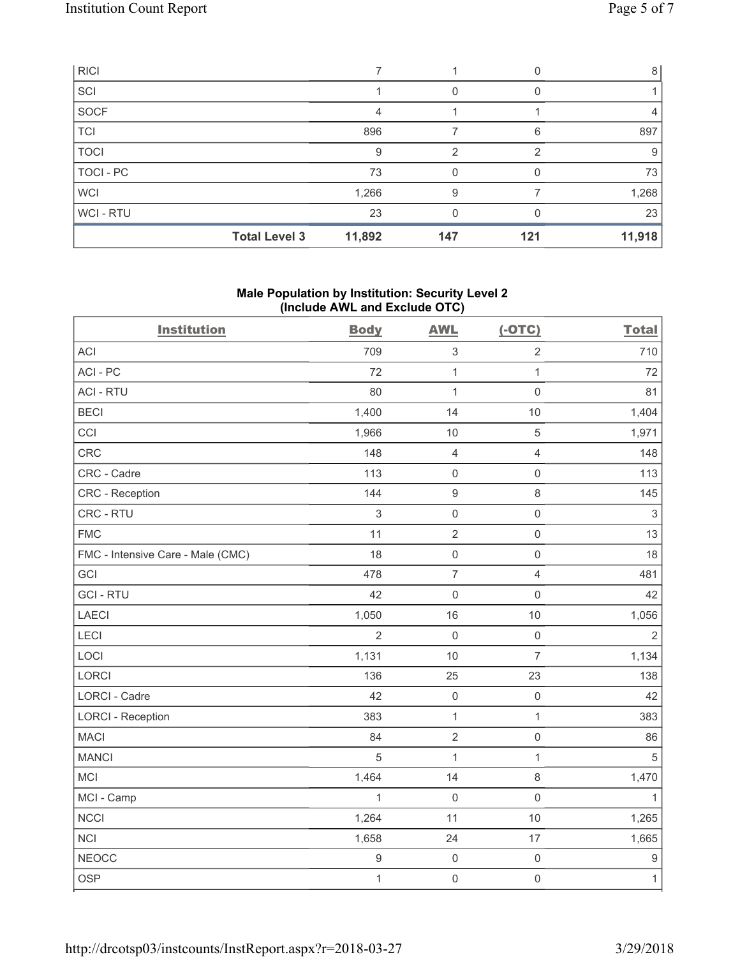|             | <b>Total Level 3</b> | 11,892 | 147           | 121 | 11,918 |
|-------------|----------------------|--------|---------------|-----|--------|
| WCI - RTU   |                      | 23     |               |     | 23     |
| <b>WCI</b>  |                      | 1,266  | 9             |     | 1,268  |
| TOCI - PC   |                      | 73     | O             |     | 73     |
| <b>TOCI</b> |                      | 9      | $\mathcal{P}$ |     | 9      |
| <b>TCI</b>  |                      | 896    |               | 6   | 897    |
| SOCF        |                      | 4      |               |     | 4      |
| SCI         |                      |        |               |     |        |
| <b>RICI</b> |                      |        |               |     | 8      |

# **Male Population by Institution: Security Level 2 (Include AWL and Exclude OTC)**

| <b>Institution</b>                | <b>Body</b>    | <b>AWL</b>                | $(-OTC)$            | <b>Total</b>     |
|-----------------------------------|----------------|---------------------------|---------------------|------------------|
| ACI                               | 709            | $\ensuremath{\mathsf{3}}$ | $\sqrt{2}$          | 710              |
| ACI-PC                            | 72             | $\mathbf{1}$              | $\mathbf{1}$        | 72               |
| <b>ACI - RTU</b>                  | 80             | $\mathbf{1}$              | $\mathsf 0$         | 81               |
| <b>BECI</b>                       | 1,400          | 14                        | 10                  | 1,404            |
| CCI                               | 1,966          | 10                        | 5                   | 1,971            |
| <b>CRC</b>                        | 148            | $\overline{4}$            | $\overline{4}$      | 148              |
| CRC - Cadre                       | 113            | $\mathsf{O}\xspace$       | $\mathsf{O}\xspace$ | 113              |
| <b>CRC</b> - Reception            | 144            | $\boldsymbol{9}$          | 8                   | 145              |
| CRC - RTU                         | 3              | $\mathbf 0$               | $\mathsf{O}\xspace$ | $\sqrt{3}$       |
| <b>FMC</b>                        | 11             | $\overline{2}$            | $\mathsf{O}\xspace$ | 13               |
| FMC - Intensive Care - Male (CMC) | 18             | $\mathsf{O}\xspace$       | $\mathsf{O}\xspace$ | 18               |
| GCI                               | 478            | $\overline{7}$            | $\overline{4}$      | 481              |
| <b>GCI-RTU</b>                    | 42             | $\mathbf 0$               | $\mathsf{O}\xspace$ | 42               |
| <b>LAECI</b>                      | 1,050          | 16                        | 10                  | 1,056            |
| <b>LECI</b>                       | $\overline{2}$ | $\mathbf 0$               | $\mathsf{O}\xspace$ | $\overline{2}$   |
| LOCI                              | 1,131          | 10                        | $\overline{7}$      | 1,134            |
| LORCI                             | 136            | 25                        | 23                  | 138              |
| LORCI - Cadre                     | 42             | $\mathsf{O}\xspace$       | $\mathsf{O}\xspace$ | 42               |
| <b>LORCI - Reception</b>          | 383            | $\mathbf{1}$              | $\mathbf{1}$        | 383              |
| <b>MACI</b>                       | 84             | $\sqrt{2}$                | $\mathsf{O}\xspace$ | 86               |
| <b>MANCI</b>                      | $\sqrt{5}$     | $\mathbf{1}$              | $\mathbf{1}$        | $\sqrt{5}$       |
| MCI                               | 1,464          | 14                        | 8                   | 1,470            |
| MCI - Camp                        | 1              | $\mathbf 0$               | $\mathsf 0$         | $\mathbf{1}$     |
| <b>NCCI</b>                       | 1,264          | 11                        | 10                  | 1,265            |
| <b>NCI</b>                        | 1,658          | 24                        | 17                  | 1,665            |
| <b>NEOCC</b>                      | 9              | $\mathbf 0$               | $\mathsf{O}\xspace$ | $\boldsymbol{9}$ |
| <b>OSP</b>                        | $\mathbf{1}$   | $\mathbf 0$               | $\mathsf{O}\xspace$ | $\mathbf{1}$     |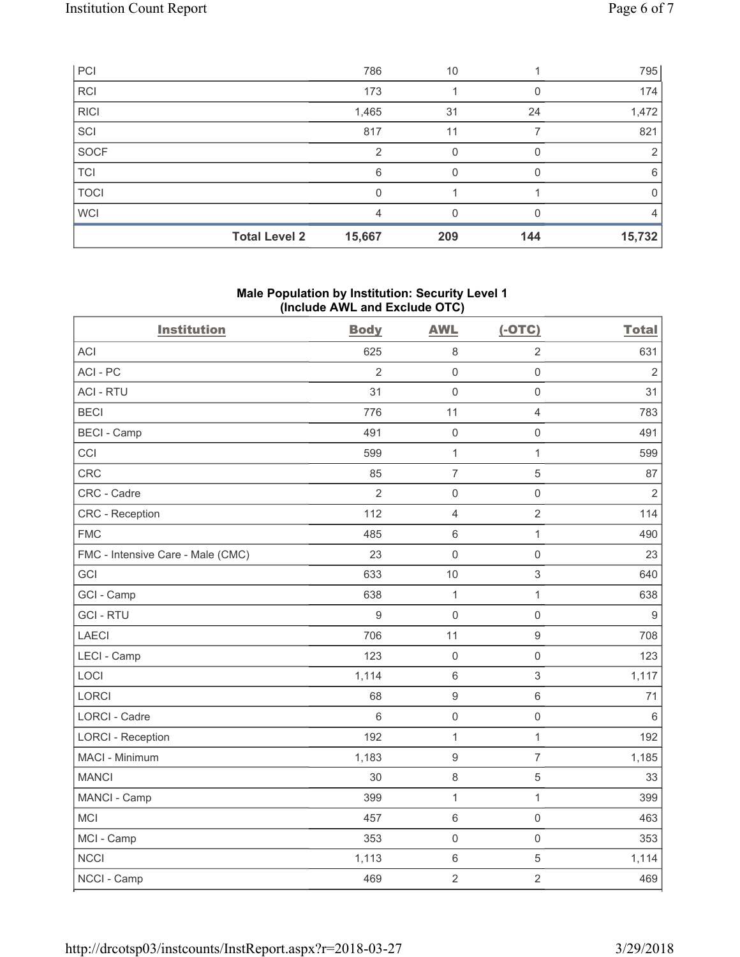| PCI         |                      | 786           | 10  |     | 795    |
|-------------|----------------------|---------------|-----|-----|--------|
| RCI         |                      | 173           |     |     | 174    |
| <b>RICI</b> |                      | 1,465         | 31  | 24  | 1,472  |
| SCI         |                      | 817           | 11  |     | 821    |
| SOCF        |                      | $\mathcal{P}$ | 0   |     | 2      |
| TCI         |                      | 6             | O   |     | 6      |
| <b>TOCI</b> |                      | 0             |     |     | 0      |
| <b>WCI</b>  |                      | 4             |     |     | 4      |
|             | <b>Total Level 2</b> | 15,667        | 209 | 144 | 15,732 |

# **Male Population by Institution: Security Level 1 (Include AWL and Exclude OTC)**

| <b>Institution</b>                | <b>Body</b>    | <b>AWL</b>          | $(-OTC)$            | <b>Total</b>   |
|-----------------------------------|----------------|---------------------|---------------------|----------------|
| <b>ACI</b>                        | 625            | 8                   | $\overline{2}$      | 631            |
| ACI-PC                            | $\overline{2}$ | $\mathbf 0$         | $\mathbf 0$         | $\overline{2}$ |
| <b>ACI - RTU</b>                  | 31             | $\mathbf 0$         | $\mathsf{O}\xspace$ | 31             |
| <b>BECI</b>                       | 776            | 11                  | $\overline{4}$      | 783            |
| <b>BECI - Camp</b>                | 491            | $\mathsf{O}\xspace$ | 0                   | 491            |
| CCI                               | 599            | $\mathbf{1}$        | $\mathbf{1}$        | 599            |
| CRC                               | 85             | $\overline{7}$      | 5                   | 87             |
| CRC - Cadre                       | $\overline{2}$ | $\mathbf 0$         | $\mathbf 0$         | $\overline{2}$ |
| <b>CRC</b> - Reception            | 112            | $\overline{4}$      | $\overline{2}$      | 114            |
| <b>FMC</b>                        | 485            | $6\,$               | $\mathbf{1}$        | 490            |
| FMC - Intensive Care - Male (CMC) | 23             | $\mathbf 0$         | $\mathsf 0$         | 23             |
| GCI                               | 633            | 10                  | 3                   | 640            |
| GCI - Camp                        | 638            | $\mathbf{1}$        | $\mathbf{1}$        | 638            |
| <b>GCI-RTU</b>                    | 9              | $\mathbf 0$         | $\mathsf{O}\xspace$ | 9              |
| <b>LAECI</b>                      | 706            | 11                  | $\boldsymbol{9}$    | 708            |
| LECI - Camp                       | 123            | $\mathsf{O}\xspace$ | $\mathsf{O}\xspace$ | 123            |
| LOCI                              | 1,114          | $\,6\,$             | $\sqrt{3}$          | 1,117          |
| <b>LORCI</b>                      | 68             | $\boldsymbol{9}$    | $\,6\,$             | 71             |
| <b>LORCI - Cadre</b>              | 6              | $\mathsf{O}\xspace$ | $\mathsf{O}\xspace$ | $\,6\,$        |
| <b>LORCI - Reception</b>          | 192            | $\mathbf 1$         | $\mathbf{1}$        | 192            |
| MACI - Minimum                    | 1,183          | $\boldsymbol{9}$    | $\overline{7}$      | 1,185          |
| <b>MANCI</b>                      | 30             | $\,8\,$             | 5                   | 33             |
| MANCI - Camp                      | 399            | $\mathbf 1$         | $\mathbf{1}$        | 399            |
| MCI                               | 457            | $\,6\,$             | $\mathsf{O}\xspace$ | 463            |
| MCI - Camp                        | 353            | $\mathsf{O}\xspace$ | $\mathsf{O}\xspace$ | 353            |
| <b>NCCI</b>                       | 1,113          | $\,6\,$             | $\,$ 5 $\,$         | 1,114          |
| NCCI - Camp                       | 469            | $\overline{2}$      | $\overline{2}$      | 469            |